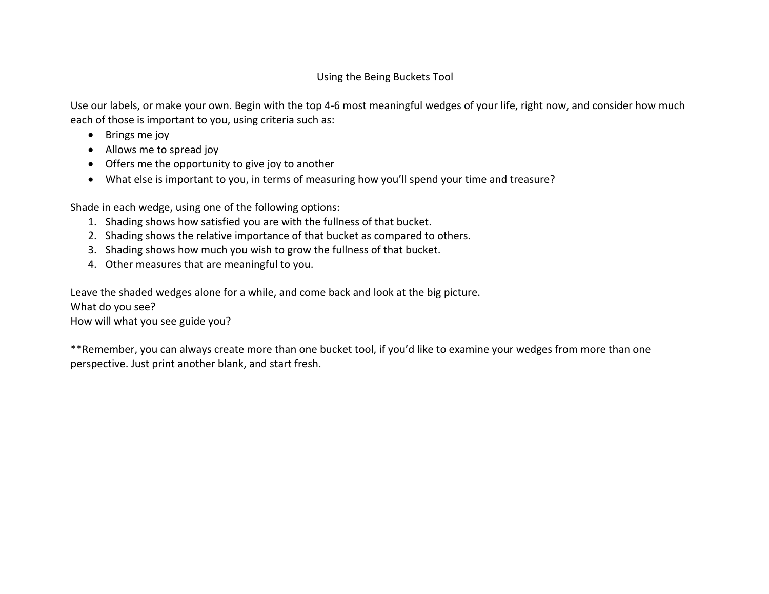## Using the Being Buckets Tool

Use our labels, or make your own. Begin with the top 4-6 most meaningful wedges of your life, right now, and consider how much each of those is important to you, using criteria such as:

- Brings me joy
- Allows me to spread joy
- Offers me the opportunity to give joy to another
- What else is important to you, in terms of measuring how you'll spend your time and treasure?

Shade in each wedge, using one of the following options:

- 1. Shading shows how satisfied you are with the fullness of that bucket.
- 2. Shading shows the relative importance of that bucket as compared to others.
- 3. Shading shows how much you wish to grow the fullness of that bucket.
- 4. Other measures that are meaningful to you.

Leave the shaded wedges alone for a while, and come back and look at the big picture.

## What do you see?

How will what you see guide you?

\*\*Remember, you can always create more than one bucket tool, if you'd like to examine your wedges from more than one perspective. Just print another blank, and start fresh.